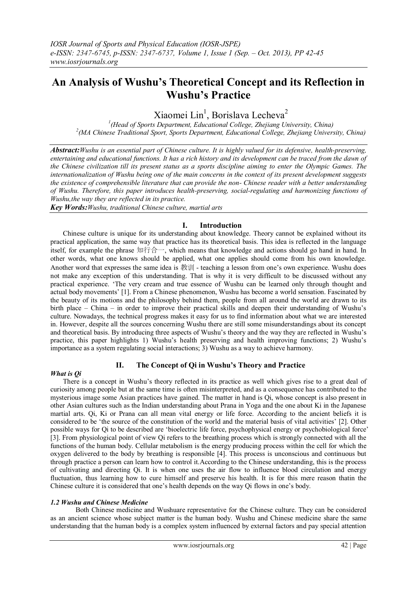# **An Analysis of Wushu's Theoretical Concept and its Reflection in Wushu's Practice**

Xiaomei Lin<sup>1</sup>, Borislava Lecheva<sup>2</sup>

*1 (Head of Sports Department, Educational College, Zhejiang University, China) 2 (MA Chinese Traditional Sport, Sports Department, Educational College, Zhejiang University, China)*

*Abstract:Wushu is an essential part of Chinese culture. It is highly valued for its defensive, health-preserving, entertaining and educational functions. It has a rich history and its development can be traced from the dawn of the Chinese civilization till its present status as a sports discipline aiming to enter the Olympic Games. The internationalization of Wushu being one of the main concerns in the context of its present development suggests the existence of comprehensible literature that can provide the non- Chinese reader with a better understanding of Wushu. Therefore, this paper introduces health-preserving, social-regulating and harmonizing functions of Wushu,the way they are reflected in its practice.*

*Key Words:Wushu, traditional Chinese culture, martial arts*

# **I. Introduction**

Chinese culture is unique for its understanding about knowledge. Theory cannot be explained without its practical application, the same way that practice has its theoretical basis. This idea is reflected in the language itself, for example the phrase 知行合一, which means that knowledge and actions should go hand in hand. In other words, what one knows should be applied, what one applies should come from his own knowledge. Another word that expresses the same idea is 教训 - teaching a lesson from one's own experience. Wushu does not make any exception of this understanding. That is why it is very difficult to be discussed without any practical experience. "The very cream and true essence of Wushu can be learned only through thought and actual body movements" [1]. From a Chinese phenomenon, Wushu has become a world sensation. Fascinated by the beauty of its motions and the philosophy behind them, people from all around the world are drawn to its birth place – China – in order to improve their practical skills and deepen their understanding of Wushu"s culture. Nowadays, the technical progress makes it easy for us to find information about what we are interested in. However, despite all the sources concerning Wushu there are still some misunderstandings about its concept and theoretical basis. By introducing three aspects of Wushu"s theory and the way they are reflected in Wushu"s practice, this paper highlights 1) Wushu"s health preserving and health improving functions; 2) Wushu"s importance as a system regulating social interactions; 3) Wushu as a way to achieve harmony.

# **II. The Concept of Qi in Wushu's Theory and Practice**

## *What is Qi*

There is a concept in Wushu"s theory reflected in its practice as well which gives rise to a great deal of curiosity among people but at the same time is often misinterpreted, and as a consequence has contributed to the mysterious image some Asian practices have gained. The matter in hand is Qi, whose concept is also present in other Asian cultures such as the Indian understanding about Prana in Yoga and the one about Ki in the Japanese martial arts. Qi, Ki or Prana can all mean vital energy or life force. According to the ancient beliefs it is considered to be "the source of the constitution of the world and the material basis of vital activities" [2]. Other possible ways for Qi to be described are "bioelectric life force, psychophysical energy or psychobiological force" [3]. From physiological point of view Qi refers to the breathing process which is strongly connected with all the functions of the human body. Cellular metabolism is the energy producing process within the cell for which the oxygen delivered to the body by breathing is responsible [4]. This process is unconscious and continuous but through practice a person can learn how to control it.According to the Chinese understanding, this is the process of cultivating and directing Qi. It is when one uses the air flow to influence blood circulation and energy fluctuation, thus learning how to cure himself and preserve his health. It is for this mere reason thatin the Chinese culture it is considered that one"s health depends on the way Qi flows in one"s body.

## *1.2 Wushu and Chinese Medicine*

Both Chinese medicine and Wushuare representative for the Chinese culture. They can be considered as an ancient science whose subject matter is the human body. Wushu and Chinese medicine share the same understanding that the human body is a complex system influenced by external factors and pay special attention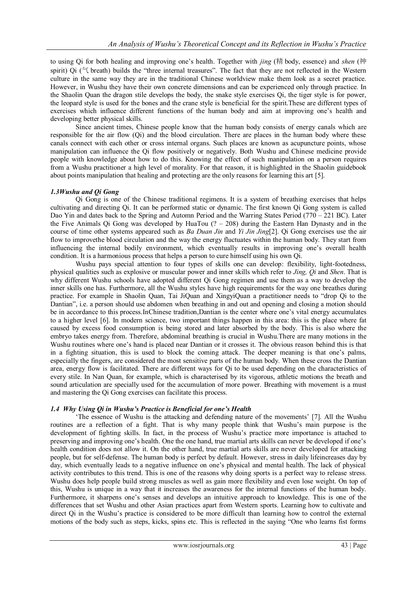to using Qi for both healing and improving one"s health. Together with *jing* (精 body, essence) and *shen* (神 spirit) Qi ( $\leq$  breath) builds the "three internal treasures". The fact that they are not reflected in the Western culture in the same way they are in the traditional Chinese worldview make them look as a secret practice. However, in Wushu they have their own concrete dimensions and can be experienced only through practice. In the Shaolin Quan the dragon stile develops the body, the snake style exercises Qi, the tiger style is for power, the leopard style is used for the bones and the crane style is beneficial for the spirit.These are different types of exercises which influence different functions of the human body and aim at improving one's health and developing better physical skills.

Since ancient times, Chinese people know that the human body consists of energy canals which are responsible for the air flow (Qi) and the blood circulation. There are places in the human body where these canals connect with each other or cross internal organs. Such places are known as acupuncture points, whose manipulation can influence the Qi flow positively or negatively. Both Wushu and Chinese medicine provide people with knowledge about how to do this. Knowing the effect of such manipulation on a person requires from a Wushu practitioner a high level of morality. For that reason, it is highlighted in the Shaolin guidebook about points manipulation that healing and protecting are the only reasons for learning this art [5].

## *1.3Wushu and Qi Gong*

Qi Gong is one of the Chinese traditional regimens. It is a system of breathing exercises that helps cultivating and directing Qi. It can be performed static or dynamic. The first known Qi Gong system is called Dao Yin and dates back to the Spring and Automn Period and the Warring States Period  $(770 - 221 \text{ BC})$ . Later the Five Animals Qi Gong was developed by HuaTou (? – 208) during the Eastern Han Dynasty and in the course of time other systems appeared such as *Ba Duan Jin* and *Yi Jin Jing*[2]. Qi Gong exercises use the air flow to improvethe blood circulation and the way the energy fluctuates within the human body. They start from influencing the internal bodily environment, which eventually results in improving one"s overall health condition. It is a harmonious process that helps a person to cure himself using his own Qi.

Wushu pays special attention to four types of skills one can develop: flexibility, light-footedness, physical qualities such as explosive or muscular power and inner skills which refer to *Jing, Qi* and *Shen*. That is why different Wushu schools have adopted different Qi Gong regimen and use them as a way to develop the inner skills one has. Furthermore, all the Wushu styles have high requirements for the way one breathes during practice. For example in Shaolin Quan, Tai JiQuan and XingyiQuan a practitioner needs to "drop Qi to the Dantian", i.e. a person should use abdomen when breathing in and out and opening and closing a motion should be in accordance to this process.InChinese tradition,Dantian is the center where one"s vital energy accumulates to a higher level [6]. In modern science, two important things happen in this area: this is the place where fat caused by excess food consumption is being stored and later absorbed by the body. This is also where the embryo takes energy from. Therefore, abdominal breathing is crucial in Wushu.There are many motions in the Wushu routines where one"s hand is placed near Dantian or it crosses it. The obvious reason behind this is that in a fighting situation, this is used to block the coming attack. The deeper meaning is that one"s palms, especially the fingers, are considered the most sensitive parts of the human body. When these cross the Dantian area, energy flow is facilitated. There are different ways for Qi to be used depending on the characteristics of every stile. In Nan Quan, for example, which is characterised by its vigorous, athletic motions the breath and sound articulation are specially used for the accumulation of more power. Breathing with movement is a must and mastering the Qi Gong exercises can facilitate this process.

## *1.4 Why Using Qi in Wushu's Practice is Beneficial for one's Health*

"The essence of Wushu is the attacking and defending nature of the movements" [7]. All the Wushu routines are a reflection of a fight. That is why many people think that Wushu"s main purpose is the development of fighting skills. In fact, in the process of Wushu"s practice more importance is attached to preserving and improving one"s health. One the one hand, true martial arts skills can never be developed if one"s health condition does not allow it. On the other hand, true martial arts skills are never developed for attacking people, but for self-defense. The human body is perfect by default. However, stress in daily lifeincreases day by day, which eventually leads to a negative influence on one"s physical and mental health. The lack of physical activity contributes to this trend. This is one of the reasons why doing sports is a perfect way to release stress. Wushu does help people build strong muscles as well as gain more flexibility and even lose weight. On top of this, Wushu is unique in a way that it increases the awareness for the internal functions of the human body. Furthermore, it sharpens one"s senses and develops an intuitive approach to knowledge. This is one of the differences that set Wushu and other Asian practices apart from Western sports. Learning how to cultivate and direct Qi in the Wushu's practice is considered to be more difficult than learning how to control the external motions of the body such as steps, kicks, spins etc. This is reflected in the saying "One who learns fist forms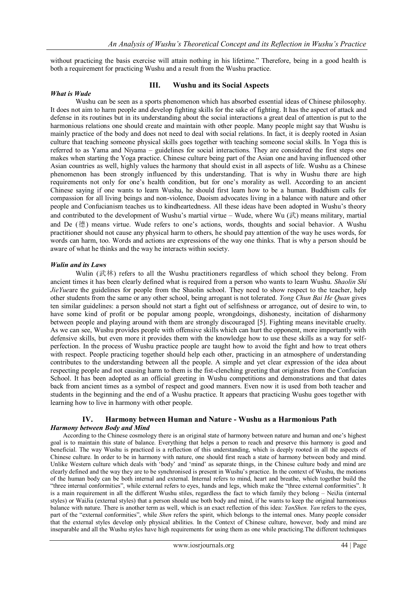without practicing the basis exercise will attain nothing in his lifetime." Therefore, being in a good health is both a requirement for practicing Wushu and a result from the Wushu practice.

#### *What is Wude*

## **III. Wushu and its Social Aspects**

Wushu can be seen as a sports phenomenon which has absorbed essential ideas of Chinese philosophy. It does not aim to harm people and develop fighting skills for the sake of fighting. It has the aspect of attack and defense in its routines but in its understanding about the social interactions a great deal of attention is put to the harmonious relations one should create and maintain with other people. Many people might say that Wushu is mainly practice of the body and does not need to deal with social relations. In fact, it is deeply rooted in Asian culture that teaching someone physical skills goes together with teaching someone social skills. In Yoga this is referred to as Yama and Niyama – guidelines for social interactions. They are considered the first steps one makes when starting the Yoga practice. Chinese culture being part of the Asian one and having influenced other Asian countries as well, highly values the harmony that should exist in all aspects of life. Wushu as a Chinese phenomenon has been strongly influenced by this understanding. That is why in Wushu there are high requirements not only for one"s health condition, but for one"s morality as well. According to an ancient Chinese saying if one wants to learn Wushu, he should first learn how to be a human. Buddhism calls for compassion for all living beings and non-violence, Daoism advocates living in a balance with nature and other people and Confucianism teaches us to kindheartedness. All these ideas have been adopted in Wushu"s theory and contributed to the development of Wushu's martial virtue – Wude, where Wu  $(\vec{\mathbb{R}})$  means military, martial and De (德) means virtue. Wude refers to one"s actions, words, thoughts and social behavior. A Wushu practitioner should not cause any physical harm to others, he should pay attention of the way he uses words, for words can harm, too. Words and actions are expressions of the way one thinks. That is why a person should be aware of what he thinks and the way he interacts within society.

#### *Wulin and its Laws*

Wulin (武林) refers to all the Wushu practitioners regardless of which school they belong. From ancient times it has been clearly defined what is required from a person who wants to learn Wushu. *Shaolin Shi JieYue* are the guidelines for people from the Shaolin school. They need to show respect to the teacher, help other students from the same or any other school, being arrogant is not tolerated. *Yong Chun Bai He Quan* gives ten similar guidelines: a person should not start a fight out of selfishness or arrogance, out of desire to win, to have some kind of profit or be popular among people, wrongdoings, dishonesty, incitation of disharmony between people and playing around with them are strongly discouraged [5]. Fighting means inevitable cruelty. As we can see, Wushu provides people with offensive skills which can hurt the opponent, more importantly with defensive skills, but even more it provides them with the knowledge how to use these skills as a way for selfperfection. In the process of Wushu practice people are taught how to avoid the fight and how to treat others with respect. People practicing together should help each other, practicing in an atmosphere of understanding contributes to the understanding between all the people. A simple and yet clear expression of the idea about respecting people and not causing harm to them is the fist-clenching greeting that originates from the Confucian School. It has been adopted as an official greeting in Wushu competitions and demonstrations and that dates back from ancient times as a symbol of respect and good manners. Even now it is used from both teacher and students in the beginning and the end of a Wushu practice. It appears that practicing Wushu goes together with learning how to live in harmony with other people.

## **IV. Harmony between Human and Nature - Wushu as a Harmonious Path** *Harmony between Body and Mind*

According to the Chinese cosmology there is an original state of harmony between nature and human and one's highest goal is to maintain this state of balance. Everything that helps a person to reach and preserve this harmony is good and beneficial. The way Wushu is practiced is a reflection of this understanding, which is deeply rooted in all the aspects of Chinese culture. In order to be in harmony with nature, one should first reach a state of harmony between body and mind. Unlike Western culture which deals with "body" and "mind" as separate things, in the Chinese culture body and mind are clearly defined and the way they are to be synchronised is present in Wushu"s practice. In the context of Wushu, the motions of the human body can be both internal and external. Internal refers to mind, heart and breathe, which together build the "three internal conformities", while external refers to eyes, hands and legs, which make the "three external conformities". It is a main requirement in all the different Wushu stiles, regardless the fact to which family they belong – NeiJia (internal styles) or WaiJia (external styles) that a person should use both body and mind, if he wants to keep the original harmonious balance with nature. There is another term as well, which is an exact reflection of this idea: *YanShen. Yan* refers to the eyes, part of the "external conformities", while *Shen* refers the spirit, which belongs to the internal ones. Many people consider that the external styles develop only physical abilities. In the Context of Chinese culture, however, body and mind are inseparable and all the Wushu styles have high requirements for using them as one while practicing.The different techniques